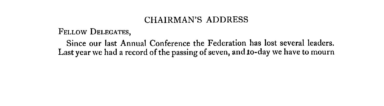## CHAIRMAN'S ADDRESS

# FELLOW DELEGATES,

Since our last Annual Conference the Federation has lost several leaders. Last year we had a record of the passing of seven, and to-day we have to mourn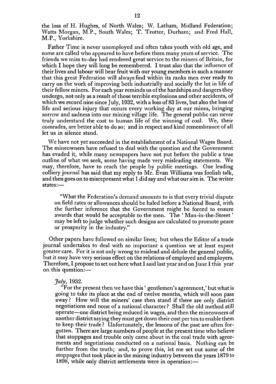the loss of H. Hughes, of North Wales; W. Latham, Midland Federation; Watts Morgan, M.P., South Wales; T. Trotter, Durham; and Fred Hall, M.P., Yorkshire.

Father Time is never unemployed and often takes youth with old age, and some are called who appeared to have before them many years of service. The friends we miss to-day had rendered great service to the miners of Britain, for which I hope they will long be remembered. I trust also that the influence of their lives and labour will bear fruit with our young members in such a manner that this great Federation will always find within its ranks men ever ready to carry on the work of improving both industrially and socially the lot in life of their fellow miners. For each year reminds us of the hardships and dangers they undergo, not only as a result of those terrible explosions and other accidents, of which we record nine since July, 1932, with a loss of 83 lives, but also the loss of life and serious injury that occurs every working day at our mines, bringing sorrow and sadness into our mining village life. The general public can never truly understand the cost to human life of the winning of coal. 'We, their comrades, are better able to do so; and in respect and kind remembrance of all let us in silence stand.

We have not yet succeeded in the establishment of a National Wages Board. The mineowners have refused to deal with the question and the Government has evaded it, while many newspapers have not put before the public a true outline of what we seek, some having made very misleading statements. We may, therefore, have to reach the people by public meetings. One leading colliery journal has said that my reply to Mr. Evan Williams was foolish talk, and then goes on to misrepresent what I did say and what our aim is. The writer states:—

"What the Federation's demand amounts to is that every trivial dispute on field rates or allowances should be haled before a National Board, with the further inference that the Government might be forced to ensure awards that would be acceptable to the men. The ' Man-in-the-Street' may be left to judge whether such designs are calculated to promote peace or prosperity in the industry."

Other papers have followed on similar lines; but when the Editor of a trade journal undertakes to deal with so important a question we at least expect greater care. For it is not only wrong to mislead and delude the general public, but it may have very serious effect on the relations of employed and employers. Therefore, I propose to set out here what I said last year and on June 1 this year on this question:—

## *July,* 1932.

"For the present then we have this' gentlemen's agreement,' but what is going to take its place at the end of twelve months, which will soon pass away? How will the miners' case then stand if there are only district negotiations and none of a national character? Shall the old method still operate—one district being reduced in wages, and then the mineowners of another district saying they must get down their cost per ton to enable them to keep their trade? Unfortunately, the lessons of the past are often forgotten. There are large numbers of people at the present time who believe that stoppages and trouble only came about in the coal trade with agreements and negotiations conducted on a national basis. Nothing can be further from the truth; and, to prove this, let me set out some of the stoppages that took place in the mining industry between the years 1879 to 1898, while only district settlements were in operation:-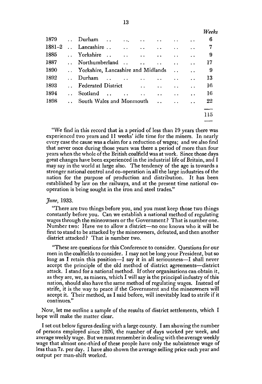#### *Weeks*

| 1879   | Durham<br>$\mathcal{L}^{\text{max}}$ and $\mathcal{L}^{\text{max}}$ . The set of $\mathcal{L}^{\text{max}}$ |                          |                      |                                           |                      | 6   |
|--------|-------------------------------------------------------------------------------------------------------------|--------------------------|----------------------|-------------------------------------------|----------------------|-----|
| 1881–2 | Lancashire<br><b><i>Contract Contract</i></b>                                                               |                          |                      |                                           | $\ddot{\phantom{a}}$ | 7   |
| 1885   | Yorkshire<br>$\mathbf{r}$ , $\mathbf{r}$ , $\mathbf{r}$ , $\mathbf{r}$ , $\mathbf{r}$                       |                          |                      | $\ddot{\phantom{a}}$                      |                      | -9  |
| 1887   | Northumberland<br>$\ddot{\phantom{a}}$                                                                      | $\ddot{\phantom{a}}$     | $\ddot{\phantom{a}}$ | $\mathbf{r}$ , and the state $\mathbf{r}$ | $\ddot{\phantom{a}}$ | 17  |
| 1890   | Yorkshire, Lancashire and Midlands                                                                          |                          |                      | $\ddot{\phantom{0}}$                      | $\ddot{\phantom{a}}$ | -9  |
| 1892   | Durham<br>$\sim$ 100 $\sim$                                                                                 | <b>Contract Contract</b> |                      | $\ddotsc$                                 |                      | 13  |
| 1893   | <b>Federated District</b>                                                                                   | $\sim 100$ km s $^{-1}$  |                      | $\ddotsc$                                 |                      | -16 |
| 1894   | Scotland<br>$\mathbf{r}$ and $\mathbf{r}$ and $\mathbf{r}$ and $\mathbf{r}$                                 |                          | $\sim$ $\sim$        | $\sim$ 100 $\sim$ 100 $\sim$              |                      | -16 |
| 1898   | South Wales and Monmouth                                                                                    |                          |                      |                                           |                      | 22  |
|        |                                                                                                             |                          |                      |                                           |                      |     |
|        |                                                                                                             |                          |                      |                                           |                      | 115 |
|        |                                                                                                             |                          |                      |                                           |                      |     |

"We find in this record that in a period of less than *19* years there was experienced two years and 11 weeks' idle time for the miners. In nearly every case the cause was a claim for a reduction of wages; and we also find that never once during those years was there a period of more than four years when the whole of the British coalfield was at work. Since those days great changes have been experienced in the industrial life of Britain, and I may say in the world at large also. The tendency of the age is towards a stronger national control and co-operation in all the large industries of the nation for the purpose of production and distribution. It has been established by law on the railways, and at the present time national cooperation is being sought in the iron and steel trades."

### *June, 1933.*

"There are two things before you, and you must keep those two things constantly before you. Can we establish a national method of regulating wages through the mineowners or the Government? That is number one. Number two: Have we to allow a district—no one knows who it will be first to stand to be attacked by the mineowners, defeated, and then another district attacked? That is number two.

"These are questions for this Conference to consider. Questions for our men in the coalfields to consider. I may not be long your President, but so long as I retain this position—I say it in all seriousness—I shall never accept the principle of the old method of district agreements—district attack. I stand for a national method. If other organisations can obtain it, as they are, we, as miners, which I will say is the principal industry of this nation, should also have the same method of regulating wages. Instead of strife, it is the way to peace if the Government and the mineowners will accept it. Their method, as I said before, will inevitably lead to strife if it continues."

Now, let me outline a sample of the results of district settlements, which I hope will make the matter clear.

I set out below figures dealing with a large county. Jam showing the number of persons employed since *1926,* the number of days worked per week, and average weekly wage. But we must remember in dealing with the average weekly wage that almost one-third of these people have only the subsistence wage of less than *7s.* per day. I have also shown the average selling price each year and output per man-shift worked.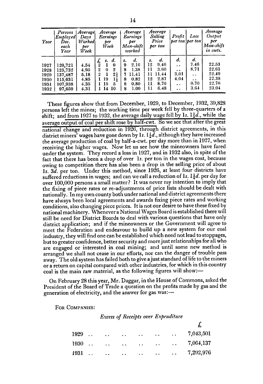| Year                                         | Persons<br>Employed <br>Dec.<br>each<br>Year                  | Average<br>Days<br>Worked<br>ber<br>Week     | Average<br><b>Earnings</b><br>per<br>Week                                                                                                 | Average<br>Earnings<br>ber<br>Man-shift<br>worked                                           | Average<br><b>Selling</b><br>Price<br>per ton                                                 | Profit<br>per ton per ton                                       | Loss                                                              | Average<br>Output<br>per<br>Man-shift<br>in cwts.  |
|----------------------------------------------|---------------------------------------------------------------|----------------------------------------------|-------------------------------------------------------------------------------------------------------------------------------------------|---------------------------------------------------------------------------------------------|-----------------------------------------------------------------------------------------------|-----------------------------------------------------------------|-------------------------------------------------------------------|----------------------------------------------------|
| 1927<br>1928<br>1929<br>1930<br>1931<br>1932 | 120.721<br>125.732<br>137,487<br>115.631<br>107.938<br>97,659 | 4.54<br>4.95<br>5.18<br>4.85<br>4.35<br>4.31 | d.<br>£,<br>s.<br>2<br>0<br>$\mathbf 2$<br>$\mathbf 2$<br>$\Omega$<br>$\overline{2}$<br>$2\frac{1}{2}$<br>19<br>11<br>15<br>5<br>10<br>14 | d.<br>s.<br>2.16<br>9<br>8<br>1.38<br>11.41<br>7<br>0.82<br>8<br>8<br>0.80<br>$1.00\,$<br>8 | d.<br>s.<br>12<br>9.46<br>11<br>3.60<br>11.44<br>11<br>12<br>2.87<br>11<br>8.76<br>6.48<br>11 | d.<br>. .<br>. .<br>3.01<br>4.04<br>$\ddot{\phantom{0}}$<br>. . | d.<br>7.46<br>8.71<br>. .<br>$\ddot{\phantom{a}}$<br>0.70<br>3.64 | 22.53<br>22.61<br>22.49<br>22.38<br>22.76<br>23.04 |

These figures show that from December, 1929, to December, 1932, 39,828 persons left the mines; the working time per week fell by three-quarters of a shift; and from 1927 to 1932, the average daily wage fell by 1s.  $1\frac{1}{4}d$ ., while the average output of coal per shift rose by half-cwt. So we see that after the great national change and reduction in 1926, through district agreements, in this district miners' wages have gone down by 1s. 1<sup>1</sup>d., although they have increased the average production of coal by half-a-cwt. per day more than in 1927, when receiving the higher wages. Now let us see how the mineowners have fared under the system. They record a loss in 1927, and in 1032 also, in spite of the fact that there has been a drop of over 1s. per ton in the wages cost, because owing to competition there has also been a drop in the selling price of about Is. *3d.* per ton. Under this method, since 1926, at least four districts have suffered reductions in wages; and can we call a reduction of *is. lid.* per day for over 100,000 persons a small matter? It was never my intention to imply that the fixing of piece rates or re-adjustments of price lists should be dealt with nationally. In my own county both under national and district agreements there have always been local agreements and awards fixing piece rates and working conditions, also changing piece prices. It is not our desire to have these fixed by national machinery. Whenever a National Wages Board is established there will still be need for District Boards to deal with various questions that have only district application; and if the mineowners or the Government will agree to meet the Federation and endeavour to build up a new system for our coal industry, they will find one can be established which need not lead to stoppages, but to greater confidence, better security and more just relationships for all who are engaged or interested in coal mining; and until some new method is arranged we shall not cease in our efforts, nor can the danger of trouble pass away. The old system has failed both to give a just standard of life to the miners or a return on capital compared with other industries, for which in this country coal is the main raw material, as the following figures will show:—

On February 28 this year, Mr. Daggar, in the House of Commons, asked the President of the Board of Trade a question on the profits made by gas and the generation of electricity, and the answer for gas was: $-$ 

FOR COMPANIES:

|  |  |  |  | <b>Excess of Receipts over Expenditure</b> |
|--|--|--|--|--------------------------------------------|
|--|--|--|--|--------------------------------------------|

|  | $1929$ | $\sim 100$ km s $^{-1}$ .   | $\sim 10^{-10}$ | 7,043,501          |
|--|--------|-----------------------------|-----------------|--------------------|
|  |        | 1930., ., ., ., ., ., ., ., |                 | 7,064,137          |
|  | $1931$ |                             |                 | $\ldots$ 7,292,976 |

*14*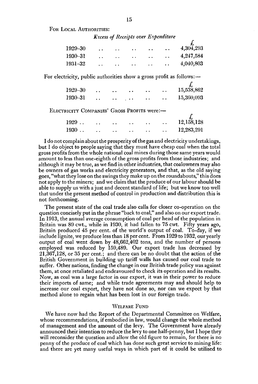FOR LOCAL AUTHORITIES:

| 1929-30     | $\ddot{\phantom{0}}$ | $\ddot{\phantom{0}}$ | $\ddot{\phantom{1}}$ | $\ddot{\phantom{a}}$ | $\ddot{\phantom{a}}$ | 4,304,293 |
|-------------|----------------------|----------------------|----------------------|----------------------|----------------------|-----------|
| $1930 - 31$ | $\ddot{\phantom{0}}$ | $\ddot{\phantom{0}}$ | $\ddot{\phantom{1}}$ | $\ddot{\phantom{0}}$ | $\ddot{\phantom{a}}$ | 4,247,584 |
| 1931–32     | $\ddot{\phantom{1}}$ | $\ddot{\phantom{0}}$ | $\ddot{\phantom{a}}$ | $\ddot{\phantom{a}}$ | $\ddot{\phantom{0}}$ | 4,040,803 |

*Excess of Receipts over Expenditure* 

For electricity, public authorities show a gross profit as follows:—

| 1929–30 | $\ddot{\phantom{a}}$ | . .       | $\bullet$ | $\cdot$ $\cdot$ | $\cdot$ .            | 15,538,862 |
|---------|----------------------|-----------|-----------|-----------------|----------------------|------------|
| 1930–31 | $\cdot$ .            | $\cdot$ . | $\cdots$  | $\cdots$        | $\ddot{\phantom{a}}$ | 15,360,093 |

ELECTRICITY COMPANIES' GROSS PROFITS were:-

| $1929$ | $\ddot{\phantom{0}}$ | $\cdot$ $\cdot$      | $\ddot{\phantom{a}}$ | $\cdots$              | $\cdot$ .            | 12,158,128 |
|--------|----------------------|----------------------|----------------------|-----------------------|----------------------|------------|
| 1930   | $\ddot{\phantom{1}}$ | $\ddot{\phantom{a}}$ | $\cdot$ $\cdot$      | $\bullet\quad\bullet$ | $\ddot{\phantom{0}}$ | 12,283,291 |

I do not complain about the prosperity of the gas and electricity undertakings, but I do object to people saying that they must have cheap coal when the total gross profits from the whole national coal mines during those same years would amount to less than one-eighth of the gross profits from those industries; and although it may be true, as we find in other industries, that coalowners may also be owners of gas works and electricity generators, and that, as the old saying goes, "what they lose on the swings they make up on the roundabouts," this does not apply to the miners; and we claim that the produce of our labour should be able to supply us with a just and decent standard of life; but we know too well that under the present method of control in production and distribution this is not forthcoming.

The present state of the coal trade also calls for closer co-operation on the question concisely put in the phrase "back to coal," and also on our export trade. In 1913, the annual average consumption of coal per head of the population in Britain was 89 cwt., while in 1930, it had fallen to 75 cwt. Fifty years ago, Britain produced 45 per cent. of the world's output of coal. To-day, if we include lignite, we produce less than 18 per cent. From 1929 to 1932, our yearly output of coal went down by 48,662,402 tons, and the number of persons employed was reduced by 159,489. Our export trade has decreased by 21,367,128, or 35 per cent.; and there can be no doubt that the action of the British Government in building up tariff walls has caused our coal trade to suffer. Other nations, finding the change in our British trade policy was against them, at once retaliated and endeavoured to check its operation and its results. Now, as coal was a large factor in our export, it was in their power to reduce their imports of same; and while trade agreements may and should help to increase our coal export, they have not done so, nor can we expect by that method alone to regain what has been lost in our foreign trade.

## WELFARE FUND

We have now had the Report of the Departmental Committee on Welfare, whose recommendations, if embodied in law, would change the whole method of management and the amount of the levy. The Government have already announced their intention to reduce the levy to one half-penny, but I hope they will reconsider the question and allow the old figure to remain, for there is no penny of the produce of coal which has done such great service to mining life: and there are yet many useful ways in which part of it could be utilised to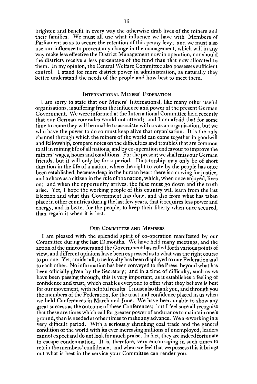brighten and benefit in every way the otherwise drab lives of the miners and their families. We must all use what influence we have with Members of Parliament so as to secure the retention of this penny levy; and we must also use our influence to prevent any change in the management, which will in any way make less effective the District Management now in operation, nor should the districts receive a less percentage of the fund than that now allocated to them. In my opinion, the Central Welfare Committee also possesses sufficient control. I stand for more district power in administration, as naturally they better understand the needs of the people and how best to meet them.

# INTERNATIONAL MINERS' FEDERATION

I am sorry to state that our Miners' International, like many other useful organisations, is suffering from the influence and power of the present German Government. We were informed at the International Committee held recently that our German comrades would not attend; and I am afraid that for some time to come they will be unable to associate with us as an organisation, but we who have the power to do so must keep alive that organisation. It is the only channel through which the miners of the world can come together in goodwill and fellowship, compare notes on the difficulties and troubles that are common to all in mining life of all nations, and by co-operation endeavour to improve the miners' wages, hours and conditions. For the present we shall miss our German friends, but it will only be for a period. Dictatorship may only be of short duration in the life of a nation, where the right to vote by the people has once been established, because deep in the human heart there is a craving for justice, and a share as a citizen in the rule of the nation, which, when once enjoyed, lives on; and when the opportunity arrives, the false must go down and the truth arise. Yet, I hope the working people of this country will learn from the last Election and what this Government has done, and also from what has taken place in other countries during the last few years, that it requires less power and energy, and is better for the people, to keep their liberty when once secured, than regain it when it is lost.

# OUR COMMITTEE AND MEMBERS

I am pleased with the splendid spirit of co-operation manifested by our Committee during the last 12 months. We have held many meetings, and the action of the mineowners and the Government has called forth various points of view, and different opinions have been expressed as to what was the right course to pursue. Yet, amidst all, true loyalty has been displayed to our Federation and to each other. No information has been conveyed to the Press, beyond what has been officially given by the Secretary; and in a time of difficulty, such as we have been passing through, this is very important, as it establishes a feeling of confidence and trust, which enables everyone to offer what they believe is best for our movement, with helpful results. I must also thank you, and through you the members of the Federation, for the trust and confidence placed in us when we held Conferences in March and June. We have been unable to show any great success as the outcome of these Conferences; but I feel sure all recognise that these are times which call for greater power of endurance to maintain one's ground, than is needed at other times to make any advance. We are working in a very difficult period. With a seriously shrinking coal trade and the general condition of the world with its ever increasing millions of unemployed, leaders cannot expect and do not look for much praise. In fact, they are indeed fortunate to escape condemnation. It is, therefore, very encouraging in such times to retain the members' confidence; and when we feel that we possess this it brings out what is best in the service your Committee can render you.